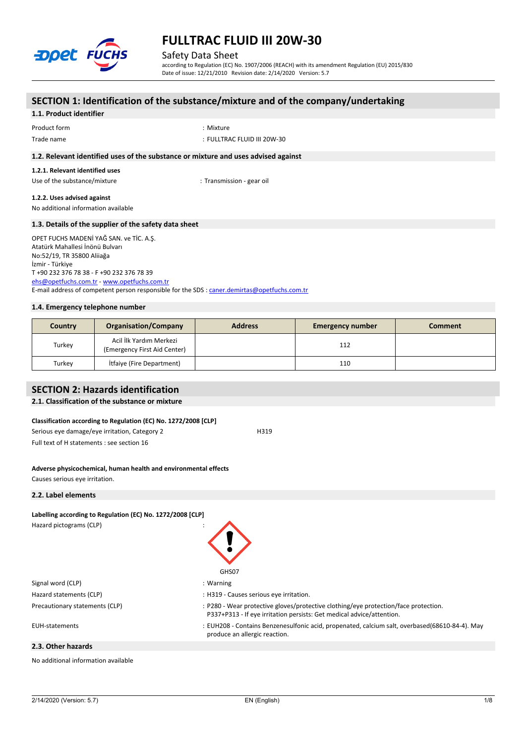

Safety Data Sheet

according to Regulation (EC) No. 1907/2006 (REACH) with its amendment Regulation (EU) 2015/830 Date of issue: 12/21/2010 Revision date: 2/14/2020 Version: 5.7

## **SECTION 1: Identification of the substance/mixture and of the company/undertaking 1.1. Product identifier** Product form  $\blacksquare$  : Mixture Trade name : FULLTRAC FLUID III 20W-30 **1.2. Relevant identified uses of the substance or mixture and uses advised against 1.2.1. Relevant identified uses** Use of the substance/mixture in the substance of the substance of the substance of the substance of the substance of the substance of the substance of the substance of the substance of the substance of the substance of the **1.2.2. Uses advised against** No additional information available **1.3. Details of the supplier of the safety data sheet 1.4. Emergency telephone number** OPET FUCHS MADENİ YAĞ SAN. ve TİC. A.Ş. Atatürk Mahallesi İnönü Bulvarı No:52/19, TR 35800 Aliiağa İzmir - Türkiye T +90 232 376 78 38 - F +90 232 376 78 39 [ehs@opetfuchs.com.tr](mailto:ehs@opetfuchs.com.tr) - <www.opetfuchs.com.tr> E-mail address of competent person responsible for the SDS : [caner.demirtas@opetfuchs.com.tr](mailto:caner.demirtas@opetfuchs.com.tr)

| Country | <b>Organisation/Company</b>                             | <b>Address</b> | <b>Emergency number</b> | Comment |
|---------|---------------------------------------------------------|----------------|-------------------------|---------|
| Turkey  | Acil İlk Yardım Merkezi<br>(Emergency First Aid Center) |                | 112                     |         |
| Turkey  | <b>Itfaiye (Fire Department)</b>                        |                | 110                     |         |

## **SECTION 2: Hazards identification**

#### **2.1. Classification of the substance or mixture**

#### **Classification according to Regulation (EC) No. 1272/2008 [CLP]**

Serious eye damage/eye irritation, Category 2 H319 Full text of H statements : see section 16

#### **Adverse physicochemical, human health and environmental effects** Causes serious eye irritation.

**2.2. Label elements**

| Labelling according to Regulation (EC) No. 1272/2008 [CLP] |                                                                                                                                                              |
|------------------------------------------------------------|--------------------------------------------------------------------------------------------------------------------------------------------------------------|
| Hazard pictograms (CLP)                                    | GHS07                                                                                                                                                        |
| Signal word (CLP)                                          | $:$ Warning                                                                                                                                                  |
| Hazard statements (CLP)                                    | : H319 - Causes serious eye irritation.                                                                                                                      |
| Precautionary statements (CLP)                             | : P280 - Wear protective gloves/protective clothing/eye protection/face protection.<br>P337+P313 - If eye irritation persists: Get medical advice/attention. |
| EUH-statements                                             | : EUH208 - Contains Benzenesulfonic acid, propenated, calcium salt, overbased(68610-84-4). May<br>produce an allergic reaction.                              |
| 2.3. Other hazards                                         |                                                                                                                                                              |

No additional information available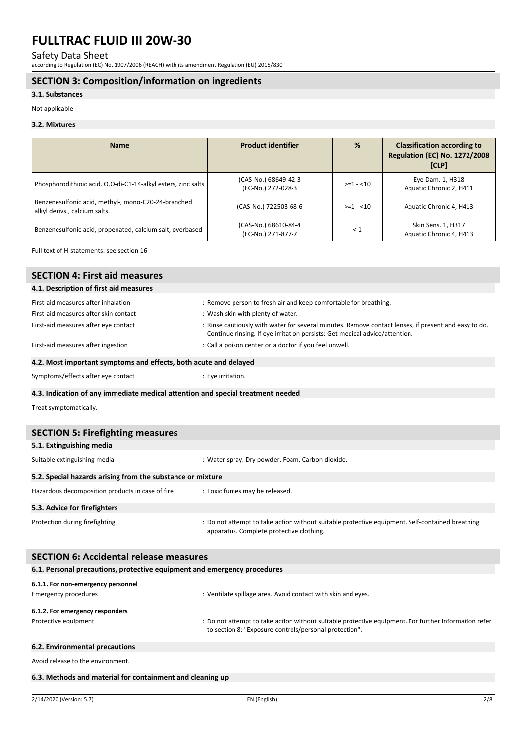Safety Data Sheet

according to Regulation (EC) No. 1907/2006 (REACH) with its amendment Regulation (EU) 2015/830

### **SECTION 3: Composition/information on ingredients**

#### **3.1. Substances**

Not applicable

#### **3.2. Mixtures**

| <b>Name</b>                                                                          | <b>Product identifier</b>                  | %          | <b>Classification according to</b><br><b>Regulation (EC) No. 1272/2008</b><br>[CLP] |
|--------------------------------------------------------------------------------------|--------------------------------------------|------------|-------------------------------------------------------------------------------------|
| Phosphorodithioic acid, O,O-di-C1-14-alkyl esters, zinc salts                        | (CAS-No.) 68649-42-3<br>(EC-No.) 272-028-3 | $>=1 - 10$ | Eye Dam. 1, H318<br>Aquatic Chronic 2, H411                                         |
| Benzenesulfonic acid, methyl-, mono-C20-24-branched<br>alkyl derivs., calcium salts. | (CAS-No.) 722503-68-6                      | $>=1 - 10$ | Aquatic Chronic 4, H413                                                             |
| Benzenesulfonic acid, propenated, calcium salt, overbased                            | (CAS-No.) 68610-84-4<br>(EC-No.) 271-877-7 | $\leq 1$   | Skin Sens. 1, H317<br>Aquatic Chronic 4, H413                                       |

Full text of H-statements: see section 16

### **SECTION 4: First aid measures**

| 4.1. Description of first aid measures |                                                                                                                                                                                     |
|----------------------------------------|-------------------------------------------------------------------------------------------------------------------------------------------------------------------------------------|
| First-aid measures after inhalation    | : Remove person to fresh air and keep comfortable for breathing.                                                                                                                    |
| First-aid measures after skin contact  | : Wash skin with plenty of water.                                                                                                                                                   |
| First-aid measures after eye contact   | : Rinse cautiously with water for several minutes. Remove contact lenses, if present and easy to do.<br>Continue rinsing. If eye irritation persists: Get medical advice/attention. |
| First-aid measures after ingestion     | : Call a poison center or a doctor if you feel unwell.                                                                                                                              |

### **4.2. Most important symptoms and effects, both acute and delayed**

Symptoms/effects after eye contact : Eye irritation.

#### **4.3. Indication of any immediate medical attention and special treatment needed**

Treat symptomatically.

| <b>SECTION 5: Firefighting measures</b>                    |                                                                                                                                             |  |  |
|------------------------------------------------------------|---------------------------------------------------------------------------------------------------------------------------------------------|--|--|
| 5.1. Extinguishing media                                   |                                                                                                                                             |  |  |
| Suitable extinguishing media                               | : Water spray. Dry powder. Foam. Carbon dioxide.                                                                                            |  |  |
| 5.2. Special hazards arising from the substance or mixture |                                                                                                                                             |  |  |
| Hazardous decomposition products in case of fire           | : Toxic fumes may be released.                                                                                                              |  |  |
| 5.3. Advice for firefighters                               |                                                                                                                                             |  |  |
| Protection during firefighting                             | : Do not attempt to take action without suitable protective equipment. Self-contained breathing<br>apparatus. Complete protective clothing. |  |  |

| <b>SECTION 6: Accidental release measures</b>                            |                                                                                                                                                                |  |  |
|--------------------------------------------------------------------------|----------------------------------------------------------------------------------------------------------------------------------------------------------------|--|--|
| 6.1. Personal precautions, protective equipment and emergency procedures |                                                                                                                                                                |  |  |
| 6.1.1. For non-emergency personnel                                       |                                                                                                                                                                |  |  |
| Emergency procedures                                                     | : Ventilate spillage area. Avoid contact with skin and eyes.                                                                                                   |  |  |
| 6.1.2. For emergency responders                                          |                                                                                                                                                                |  |  |
| Protective equipment                                                     | : Do not attempt to take action without suitable protective equipment. For further information refer<br>to section 8: "Exposure controls/personal protection". |  |  |
| 6.2. Environmental precautions                                           |                                                                                                                                                                |  |  |

Avoid release to the environment.

#### **6.3. Methods and material for containment and cleaning up**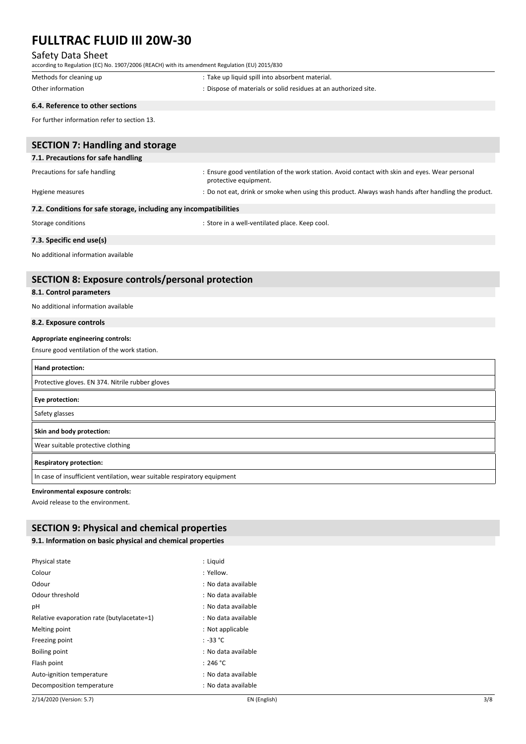## Safety Data Sheet

| according to Regulation (EC) No. 1907/2006 (REACH) with its amendment Regulation (EU) 2015/830 |                                                                                                                         |
|------------------------------------------------------------------------------------------------|-------------------------------------------------------------------------------------------------------------------------|
| Methods for cleaning up                                                                        | : Take up liquid spill into absorbent material.                                                                         |
| Other information                                                                              | : Dispose of materials or solid residues at an authorized site.                                                         |
| 6.4. Reference to other sections                                                               |                                                                                                                         |
| For further information refer to section 13.                                                   |                                                                                                                         |
| <b>SECTION 7: Handling and storage</b>                                                         |                                                                                                                         |
| 7.1. Precautions for safe handling                                                             |                                                                                                                         |
| Precautions for safe handling                                                                  | : Ensure good ventilation of the work station. Avoid contact with skin and eyes. Wear personal<br>protective equipment. |
| Hygiene measures                                                                               | : Do not eat, drink or smoke when using this product. Always wash hands after handling the product.                     |
| 7.2. Conditions for safe storage, including any incompatibilities                              |                                                                                                                         |
| Storage conditions                                                                             | : Store in a well-ventilated place. Keep cool.                                                                          |
| 7.3. Specific end use(s)                                                                       |                                                                                                                         |
| No additional information available                                                            |                                                                                                                         |
| <b>SECTION 8: Exposure controls/personal protection</b>                                        |                                                                                                                         |
| 8.1. Control parameters                                                                        |                                                                                                                         |
| No additional information available                                                            |                                                                                                                         |
| 8.2. Exposure controls                                                                         |                                                                                                                         |
| Appropriate engineering controls:                                                              |                                                                                                                         |
| Ensure good ventilation of the work station.                                                   |                                                                                                                         |
| Hand protection:                                                                               |                                                                                                                         |
| Protective gloves. EN 374. Nitrile rubber gloves                                               |                                                                                                                         |
| Eye protection:                                                                                |                                                                                                                         |
| Safety glasses                                                                                 |                                                                                                                         |
| Skin and body protection:                                                                      |                                                                                                                         |
| Wear suitable protective clothing                                                              |                                                                                                                         |
| <b>Respiratory protection:</b>                                                                 |                                                                                                                         |
| In case of insufficient ventilation, wear suitable respiratory equipment                       |                                                                                                                         |
| <b>Environmental exposure controls:</b>                                                        |                                                                                                                         |

Avoid release to the environment.

## **SECTION 9: Physical and chemical properties**

## **9.1. Information on basic physical and chemical properties**

| Physical state                             | : Liguid            |
|--------------------------------------------|---------------------|
| Colour                                     | : Yellow.           |
| Odour                                      | : No data available |
| Odour threshold                            | : No data available |
| рH                                         | : No data available |
| Relative evaporation rate (butylacetate=1) | : No data available |
| Melting point                              | : Not applicable    |
| Freezing point                             | $: -33 °C$          |
| Boiling point                              | : No data available |
| Flash point                                | : 246 °C            |
| Auto-ignition temperature                  | : No data available |
| Decomposition temperature                  | : No data available |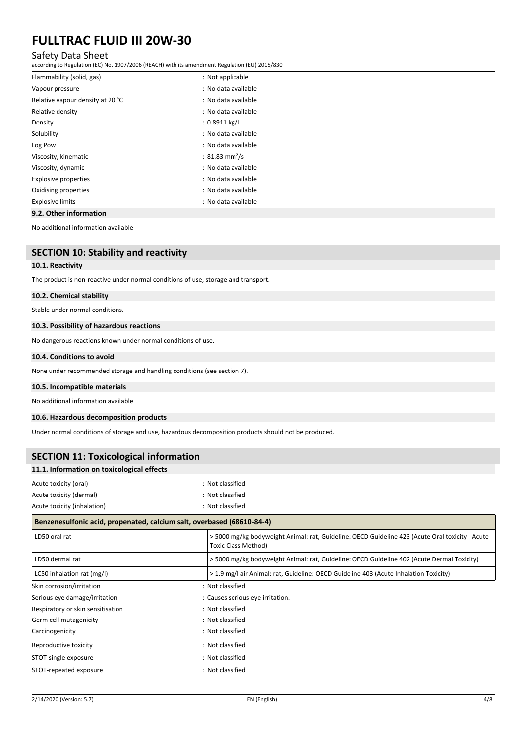## Safety Data Sheet

according to Regulation (EC) No. 1907/2006 (REACH) with its amendment Regulation (EU) 2015/830

| Flammability (solid, gas)                       | : Not applicable           |
|-------------------------------------------------|----------------------------|
| Vapour pressure                                 | : No data available        |
| Relative vapour density at 20 °C                | : No data available        |
| Relative density                                | : No data available        |
| Density                                         | : 0.8911 kg/l              |
| Solubility                                      | : No data available        |
| Log Pow                                         | : No data available        |
| Viscosity, kinematic                            | : 81.83 mm <sup>2</sup> /s |
| Viscosity, dynamic                              | : No data available        |
| Explosive properties                            | : No data available        |
| Oxidising properties                            | : No data available        |
| <b>Explosive limits</b>                         | : No data available        |
| $0.2.01$ $0.01$ $0.001$ $0.000$ $0.000$ $0.000$ |                            |

**9.2. Other information**

No additional information available

### **SECTION 10: Stability and reactivity**

#### **10.1. Reactivity**

The product is non-reactive under normal conditions of use, storage and transport.

#### **10.2. Chemical stability**

Stable under normal conditions.

#### **10.3. Possibility of hazardous reactions**

No dangerous reactions known under normal conditions of use.

#### **10.4. Conditions to avoid**

None under recommended storage and handling conditions (see section 7).

#### **10.5. Incompatible materials**

No additional information available

#### **10.6. Hazardous decomposition products**

Under normal conditions of storage and use, hazardous decomposition products should not be produced.

| <b>SECTION 11: Toxicological information</b>                           |                                                                                                                               |  |  |
|------------------------------------------------------------------------|-------------------------------------------------------------------------------------------------------------------------------|--|--|
| 11.1. Information on toxicological effects                             |                                                                                                                               |  |  |
| Acute toxicity (oral)                                                  | : Not classified                                                                                                              |  |  |
| Acute toxicity (dermal)                                                | : Not classified                                                                                                              |  |  |
| Acute toxicity (inhalation)                                            | : Not classified                                                                                                              |  |  |
| Benzenesulfonic acid, propenated, calcium salt, overbased (68610-84-4) |                                                                                                                               |  |  |
| LD50 oral rat                                                          | > 5000 mg/kg bodyweight Animal: rat, Guideline: OECD Guideline 423 (Acute Oral toxicity - Acute<br><b>Toxic Class Method)</b> |  |  |
| LD50 dermal rat                                                        | > 5000 mg/kg bodyweight Animal: rat, Guideline: OECD Guideline 402 (Acute Dermal Toxicity)                                    |  |  |
| LC50 inhalation rat (mg/l)                                             | > 1.9 mg/l air Animal: rat, Guideline: OECD Guideline 403 (Acute Inhalation Toxicity)                                         |  |  |
| Skin corrosion/irritation                                              | : Not classified                                                                                                              |  |  |
| Serious eye damage/irritation                                          | : Causes serious eye irritation.                                                                                              |  |  |
| Respiratory or skin sensitisation                                      | : Not classified                                                                                                              |  |  |
| Germ cell mutagenicity                                                 | : Not classified                                                                                                              |  |  |
| Carcinogenicity                                                        | : Not classified                                                                                                              |  |  |
| Reproductive toxicity                                                  | : Not classified                                                                                                              |  |  |
| STOT-single exposure                                                   | : Not classified                                                                                                              |  |  |
| STOT-repeated exposure                                                 | : Not classified                                                                                                              |  |  |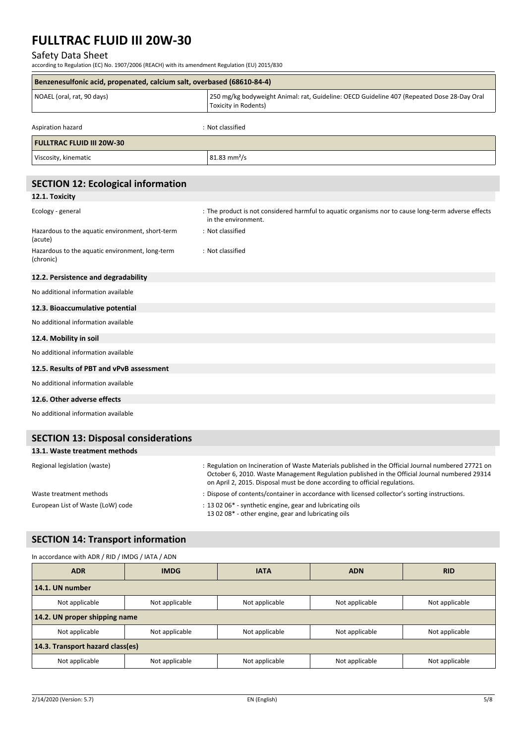## Safety Data Sheet

according to Regulation (EC) No. 1907/2006 (REACH) with its amendment Regulation (EU) 2015/830

| Benzenesulfonic acid, propenated, calcium salt, overbased (68610-84-4) |                                                                                                                            |  |
|------------------------------------------------------------------------|----------------------------------------------------------------------------------------------------------------------------|--|
| NOAEL (oral, rat, 90 days)                                             | 250 mg/kg bodyweight Animal: rat, Guideline: OECD Guideline 407 (Repeated Dose 28-Day Oral<br>Toxicity in Rodents)         |  |
| Aspiration hazard                                                      | : Not classified                                                                                                           |  |
| <b>FULLTRAC FLUID III 20W-30</b>                                       |                                                                                                                            |  |
| Viscosity, kinematic                                                   | $81.83$ mm <sup>2</sup> /s                                                                                                 |  |
| <b>SECTION 12: Ecological information</b>                              |                                                                                                                            |  |
| 12.1. Toxicity                                                         |                                                                                                                            |  |
| Ecology - general                                                      | : The product is not considered harmful to aquatic organisms nor to cause long-term adverse effects<br>in the environment. |  |
| Hazardous to the aquatic environment, short-term<br>(acute)            | : Not classified                                                                                                           |  |
| Hazardous to the aquatic environment, long-term<br>(chronic)           | : Not classified                                                                                                           |  |
| 12.2. Persistence and degradability                                    |                                                                                                                            |  |
| No additional information available                                    |                                                                                                                            |  |
| 12.3. Bioaccumulative potential                                        |                                                                                                                            |  |
| No additional information available                                    |                                                                                                                            |  |
| 12.4. Mobility in soil                                                 |                                                                                                                            |  |
| No additional information available                                    |                                                                                                                            |  |
| 12.5. Results of PBT and vPvB assessment                               |                                                                                                                            |  |
| No additional information available                                    |                                                                                                                            |  |
| 12.6. Other adverse effects                                            |                                                                                                                            |  |
| No additional information available                                    |                                                                                                                            |  |
| <b>SECTION 13: Disposal considerations</b>                             |                                                                                                                            |  |

#### **13.1. Waste treatment methods**

| Regional legislation (waste)      | : Regulation on Incineration of Waste Materials published in the Official Journal numbered 27721 on<br>October 6, 2010. Waste Management Regulation published in the Official Journal numbered 29314<br>on April 2, 2015. Disposal must be done according to official regulations. |
|-----------------------------------|------------------------------------------------------------------------------------------------------------------------------------------------------------------------------------------------------------------------------------------------------------------------------------|
| Waste treatment methods           | : Dispose of contents/container in accordance with licensed collector's sorting instructions.                                                                                                                                                                                      |
| European List of Waste (LoW) code | : 13 02 06* - synthetic engine, gear and lubricating oils<br>13 02 08* - other engine, gear and lubricating oils                                                                                                                                                                   |

## **SECTION 14: Transport information**

## In accordance with ADR / RID / IMDG / IATA / ADN

| <b>ADR</b>                       | <b>IMDG</b>    | <b>IATA</b>    | <b>ADN</b>     | <b>RID</b>     |
|----------------------------------|----------------|----------------|----------------|----------------|
| 14.1. UN number                  |                |                |                |                |
| Not applicable                   | Not applicable | Not applicable | Not applicable | Not applicable |
| 14.2. UN proper shipping name    |                |                |                |                |
| Not applicable                   | Not applicable | Not applicable | Not applicable | Not applicable |
| 14.3. Transport hazard class(es) |                |                |                |                |
| Not applicable                   | Not applicable | Not applicable | Not applicable | Not applicable |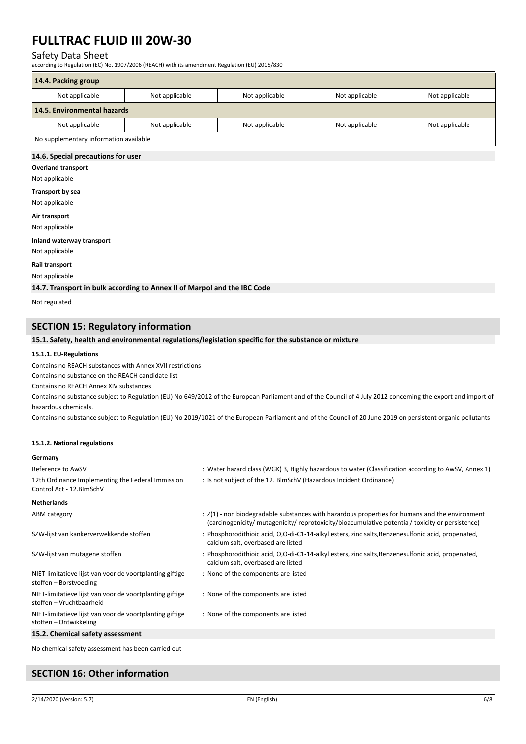### Safety Data Sheet

according to Regulation (EC) No. 1907/2006 (REACH) with its amendment Regulation (EU) 2015/830

| 14.4. Packing group                    |                |                |                |                |
|----------------------------------------|----------------|----------------|----------------|----------------|
| Not applicable                         | Not applicable | Not applicable | Not applicable | Not applicable |
| 14.5. Environmental hazards            |                |                |                |                |
| Not applicable                         | Not applicable | Not applicable | Not applicable | Not applicable |
| No supplementary information available |                |                |                |                |

#### **14.6. Special precautions for user**

**Overland transport**

Not applicable

#### **Transport by sea**

Not applicable

**Air transport**

Not applicable

#### **Inland waterway transport**

Not applicable

**Rail transport**

Not applicable

**14.7. Transport in bulk according to Annex II of Marpol and the IBC Code**

Not regulated

### **SECTION 15: Regulatory information**

#### **15.1. Safety, health and environmental regulations/legislation specific for the substance or mixture**

#### **15.1.1. EU-Regulations**

Contains no REACH substances with Annex XVII restrictions

Contains no substance on the REACH candidate list

Contains no REACH Annex XIV substances

Contains no substance subject to Regulation (EU) No 649/2012 of the European Parliament and of the Council of 4 July 2012 concerning the export and import of hazardous chemicals.

Contains no substance subject to Regulation (EU) No 2019/1021 of the European Parliament and of the Council of 20 June 2019 on persistent organic pollutants

#### **15.1.2. National regulations**

#### **Germany**

| Reference to AwSV                                                                    | : Water hazard class (WGK) 3, Highly hazardous to water (Classification according to AwSV, Annex 1)                                                                                                |
|--------------------------------------------------------------------------------------|----------------------------------------------------------------------------------------------------------------------------------------------------------------------------------------------------|
| 12th Ordinance Implementing the Federal Immission<br>Control Act - 12. BlmSchV       | : Is not subject of the 12. BlmSchV (Hazardous Incident Ordinance)                                                                                                                                 |
| <b>Netherlands</b>                                                                   |                                                                                                                                                                                                    |
| ABM category                                                                         | : Z(1) - non biodegradable substances with hazardous properties for humans and the environment<br>(carcinogenicity/ mutagenicity/ reprotoxicity/bioacumulative potential/ toxicity or persistence) |
| SZW-lijst van kankerverwekkende stoffen                                              | : Phosphorodithioic acid, O,O-di-C1-14-alkyl esters, zinc salts, Benzenesulfonic acid, propenated,<br>calcium salt, overbased are listed                                                           |
| SZW-lijst van mutagene stoffen                                                       | : Phosphorodithioic acid, O,O-di-C1-14-alkyl esters, zinc salts, Benzenesulfonic acid, propenated,<br>calcium salt, overbased are listed                                                           |
| NIET-limitatieve lijst van voor de voortplanting giftige<br>stoffen – Borstvoeding   | : None of the components are listed                                                                                                                                                                |
| NIET-limitatieve lijst van voor de voortplanting giftige<br>stoffen - Vruchtbaarheid | : None of the components are listed                                                                                                                                                                |
| NIET-limitatieve lijst van voor de voortplanting giftige<br>stoffen - Ontwikkeling   | : None of the components are listed                                                                                                                                                                |
| 15.2. Chemical safety assessment                                                     |                                                                                                                                                                                                    |
| No chemical safety assessment has been carried out                                   |                                                                                                                                                                                                    |

## **SECTION 16: Other information**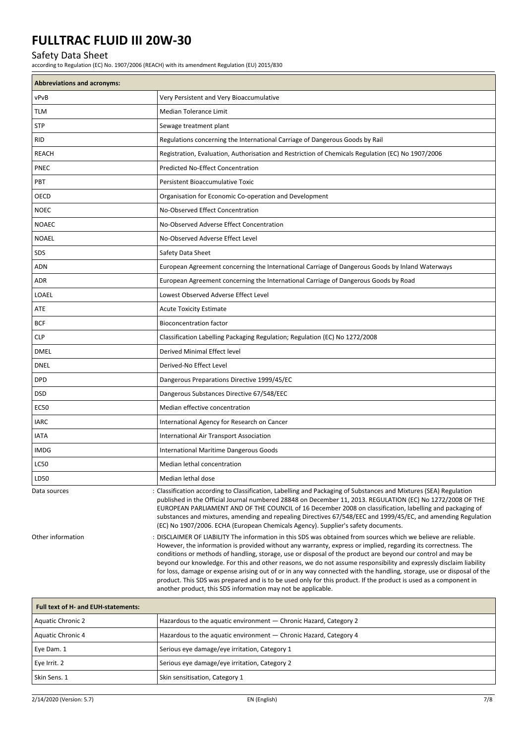## Safety Data Sheet

according to Regulation (EC) No. 1907/2006 (REACH) with its amendment Regulation (EU) 2015/830

| <b>Abbreviations and acronyms:</b> |                                                                                                                                                                                                                                                                                                                                                                                                                                                                                                                                                                                                                                                                                                                                                                                    |
|------------------------------------|------------------------------------------------------------------------------------------------------------------------------------------------------------------------------------------------------------------------------------------------------------------------------------------------------------------------------------------------------------------------------------------------------------------------------------------------------------------------------------------------------------------------------------------------------------------------------------------------------------------------------------------------------------------------------------------------------------------------------------------------------------------------------------|
| vPvB                               | Very Persistent and Very Bioaccumulative                                                                                                                                                                                                                                                                                                                                                                                                                                                                                                                                                                                                                                                                                                                                           |
| <b>TLM</b>                         | <b>Median Tolerance Limit</b>                                                                                                                                                                                                                                                                                                                                                                                                                                                                                                                                                                                                                                                                                                                                                      |
| <b>STP</b>                         | Sewage treatment plant                                                                                                                                                                                                                                                                                                                                                                                                                                                                                                                                                                                                                                                                                                                                                             |
| <b>RID</b>                         | Regulations concerning the International Carriage of Dangerous Goods by Rail                                                                                                                                                                                                                                                                                                                                                                                                                                                                                                                                                                                                                                                                                                       |
| <b>REACH</b>                       | Registration, Evaluation, Authorisation and Restriction of Chemicals Regulation (EC) No 1907/2006                                                                                                                                                                                                                                                                                                                                                                                                                                                                                                                                                                                                                                                                                  |
| <b>PNEC</b>                        | Predicted No-Effect Concentration                                                                                                                                                                                                                                                                                                                                                                                                                                                                                                                                                                                                                                                                                                                                                  |
| PBT                                | Persistent Bioaccumulative Toxic                                                                                                                                                                                                                                                                                                                                                                                                                                                                                                                                                                                                                                                                                                                                                   |
| OECD                               | Organisation for Economic Co-operation and Development                                                                                                                                                                                                                                                                                                                                                                                                                                                                                                                                                                                                                                                                                                                             |
| <b>NOEC</b>                        | No-Observed Effect Concentration                                                                                                                                                                                                                                                                                                                                                                                                                                                                                                                                                                                                                                                                                                                                                   |
| <b>NOAEC</b>                       | No-Observed Adverse Effect Concentration                                                                                                                                                                                                                                                                                                                                                                                                                                                                                                                                                                                                                                                                                                                                           |
| <b>NOAEL</b>                       | No-Observed Adverse Effect Level                                                                                                                                                                                                                                                                                                                                                                                                                                                                                                                                                                                                                                                                                                                                                   |
| SDS                                | Safety Data Sheet                                                                                                                                                                                                                                                                                                                                                                                                                                                                                                                                                                                                                                                                                                                                                                  |
| ADN                                | European Agreement concerning the International Carriage of Dangerous Goods by Inland Waterways                                                                                                                                                                                                                                                                                                                                                                                                                                                                                                                                                                                                                                                                                    |
| ADR                                | European Agreement concerning the International Carriage of Dangerous Goods by Road                                                                                                                                                                                                                                                                                                                                                                                                                                                                                                                                                                                                                                                                                                |
| LOAEL                              | Lowest Observed Adverse Effect Level                                                                                                                                                                                                                                                                                                                                                                                                                                                                                                                                                                                                                                                                                                                                               |
| ATE                                | <b>Acute Toxicity Estimate</b>                                                                                                                                                                                                                                                                                                                                                                                                                                                                                                                                                                                                                                                                                                                                                     |
| <b>BCF</b>                         | <b>Bioconcentration factor</b>                                                                                                                                                                                                                                                                                                                                                                                                                                                                                                                                                                                                                                                                                                                                                     |
| <b>CLP</b>                         | Classification Labelling Packaging Regulation; Regulation (EC) No 1272/2008                                                                                                                                                                                                                                                                                                                                                                                                                                                                                                                                                                                                                                                                                                        |
| <b>DMEL</b>                        | Derived Minimal Effect level                                                                                                                                                                                                                                                                                                                                                                                                                                                                                                                                                                                                                                                                                                                                                       |
| <b>DNEL</b>                        | Derived-No Effect Level                                                                                                                                                                                                                                                                                                                                                                                                                                                                                                                                                                                                                                                                                                                                                            |
| <b>DPD</b>                         | Dangerous Preparations Directive 1999/45/EC                                                                                                                                                                                                                                                                                                                                                                                                                                                                                                                                                                                                                                                                                                                                        |
| <b>DSD</b>                         | Dangerous Substances Directive 67/548/EEC                                                                                                                                                                                                                                                                                                                                                                                                                                                                                                                                                                                                                                                                                                                                          |
| <b>EC50</b>                        | Median effective concentration                                                                                                                                                                                                                                                                                                                                                                                                                                                                                                                                                                                                                                                                                                                                                     |
| <b>IARC</b>                        | International Agency for Research on Cancer                                                                                                                                                                                                                                                                                                                                                                                                                                                                                                                                                                                                                                                                                                                                        |
| <b>IATA</b>                        | International Air Transport Association                                                                                                                                                                                                                                                                                                                                                                                                                                                                                                                                                                                                                                                                                                                                            |
| <b>IMDG</b>                        | International Maritime Dangerous Goods                                                                                                                                                                                                                                                                                                                                                                                                                                                                                                                                                                                                                                                                                                                                             |
| <b>LC50</b>                        | Median lethal concentration                                                                                                                                                                                                                                                                                                                                                                                                                                                                                                                                                                                                                                                                                                                                                        |
| LD50                               | Median lethal dose                                                                                                                                                                                                                                                                                                                                                                                                                                                                                                                                                                                                                                                                                                                                                                 |
| Data sources                       | : Classification according to Classification, Labelling and Packaging of Substances and Mixtures (SEA) Regulation<br>published in the Official Journal numbered 28848 on December 11, 2013. REGULATION (EC) No 1272/2008 OF THE<br>EUROPEAN PARLIAMENT AND OF THE COUNCIL of 16 December 2008 on classification, labelling and packaging of<br>substances and mixtures, amending and repealing Directives 67/548/EEC and 1999/45/EC, and amending Regulation<br>(EC) No 1907/2006. ECHA (European Chemicals Agency). Supplier's safety documents.                                                                                                                                                                                                                                  |
| Other information                  | : DISCLAIMER OF LIABILITY The information in this SDS was obtained from sources which we believe are reliable.<br>However, the information is provided without any warranty, express or implied, regarding its correctness. The<br>conditions or methods of handling, storage, use or disposal of the product are beyond our control and may be<br>beyond our knowledge. For this and other reasons, we do not assume responsibility and expressly disclaim liability<br>for loss, damage or expense arising out of or in any way connected with the handling, storage, use or disposal of the<br>product. This SDS was prepared and is to be used only for this product. If the product is used as a component in<br>another product, this SDS information may not be applicable. |

| Full text of H- and EUH-statements: |                                                                   |  |
|-------------------------------------|-------------------------------------------------------------------|--|
| Aquatic Chronic 2                   | Hazardous to the aquatic environment - Chronic Hazard, Category 2 |  |
| Aquatic Chronic 4                   | Hazardous to the aquatic environment - Chronic Hazard, Category 4 |  |
| Eye Dam. 1                          | Serious eye damage/eye irritation, Category 1                     |  |
| Eye Irrit. 2                        | Serious eye damage/eye irritation, Category 2                     |  |
| l Skin Sens. 1                      | Skin sensitisation, Category 1                                    |  |